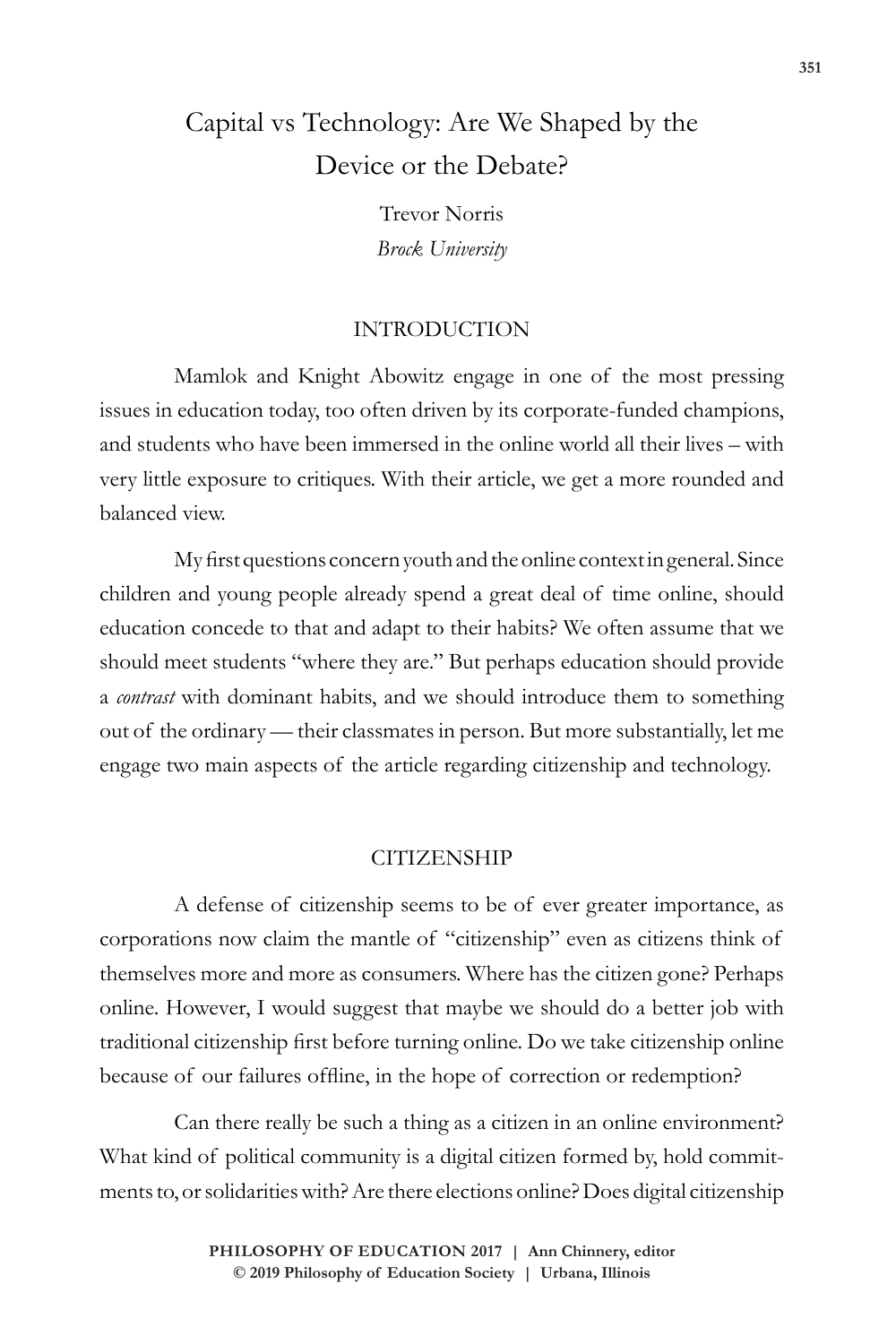# Capital vs Technology: Are We Shaped by the Device or the Debate?

Trevor Norris *Brock University*

## INTRODUCTION

Mamlok and Knight Abowitz engage in one of the most pressing issues in education today, too often driven by its corporate-funded champions, and students who have been immersed in the online world all their lives – with very little exposure to critiques. With their article, we get a more rounded and balanced view.

My first questions concern youth and the online context in general. Since children and young people already spend a great deal of time online, should education concede to that and adapt to their habits? We often assume that we should meet students "where they are." But perhaps education should provide a *contrast* with dominant habits, and we should introduce them to something out of the ordinary — their classmates in person. But more substantially, let me engage two main aspects of the article regarding citizenship and technology.

#### **CITIZENSHIP**

A defense of citizenship seems to be of ever greater importance, as corporations now claim the mantle of "citizenship" even as citizens think of themselves more and more as consumers. Where has the citizen gone? Perhaps online. However, I would suggest that maybe we should do a better job with traditional citizenship first before turning online. Do we take citizenship online because of our failures offline, in the hope of correction or redemption?

Can there really be such a thing as a citizen in an online environment? What kind of political community is a digital citizen formed by, hold commitments to, or solidarities with? Are there elections online? Does digital citizenship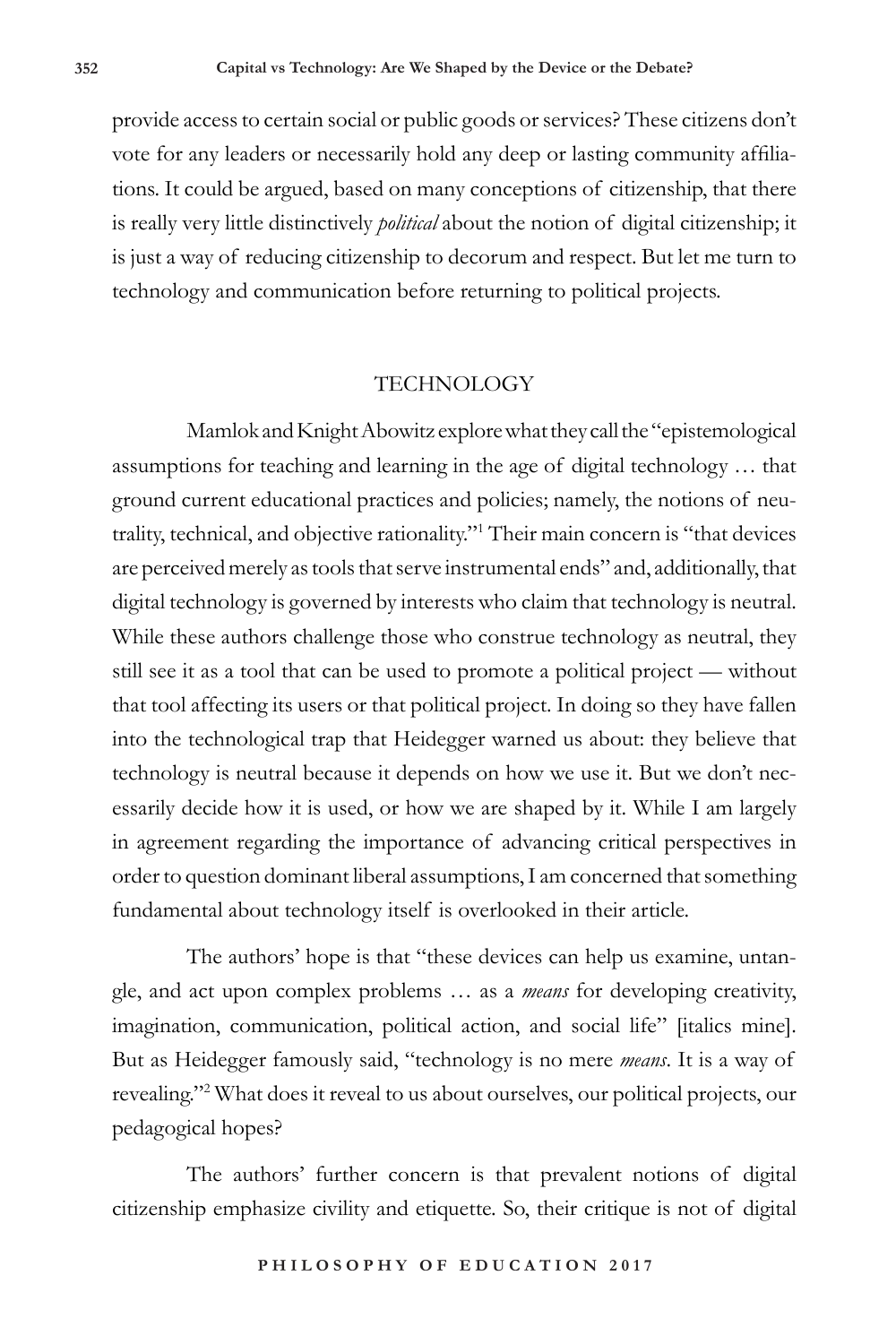provide access to certain social or public goods or services? These citizens don't vote for any leaders or necessarily hold any deep or lasting community affiliations. It could be argued, based on many conceptions of citizenship, that there is really very little distinctively *political* about the notion of digital citizenship; it is just a way of reducing citizenship to decorum and respect. But let me turn to technology and communication before returning to political projects.

### **TECHNOLOGY**

Mamlok and Knight Abowitz explore what they call the "epistemological assumptions for teaching and learning in the age of digital technology … that ground current educational practices and policies; namely, the notions of neutrality, technical, and objective rationality."1 Their main concern is "that devices are perceived merely as tools that serve instrumental ends" and, additionally, that digital technology is governed by interests who claim that technology is neutral. While these authors challenge those who construe technology as neutral, they still see it as a tool that can be used to promote a political project — without that tool affecting its users or that political project. In doing so they have fallen into the technological trap that Heidegger warned us about: they believe that technology is neutral because it depends on how we use it. But we don't necessarily decide how it is used, or how we are shaped by it. While I am largely in agreement regarding the importance of advancing critical perspectives in order to question dominant liberal assumptions, I am concerned that something fundamental about technology itself is overlooked in their article.

The authors' hope is that "these devices can help us examine, untangle, and act upon complex problems … as a *means* for developing creativity, imagination, communication, political action, and social life" [italics mine]. But as Heidegger famously said, "technology is no mere *means*. It is a way of revealing."2 What does it reveal to us about ourselves, our political projects, our pedagogical hopes?

The authors' further concern is that prevalent notions of digital citizenship emphasize civility and etiquette. So, their critique is not of digital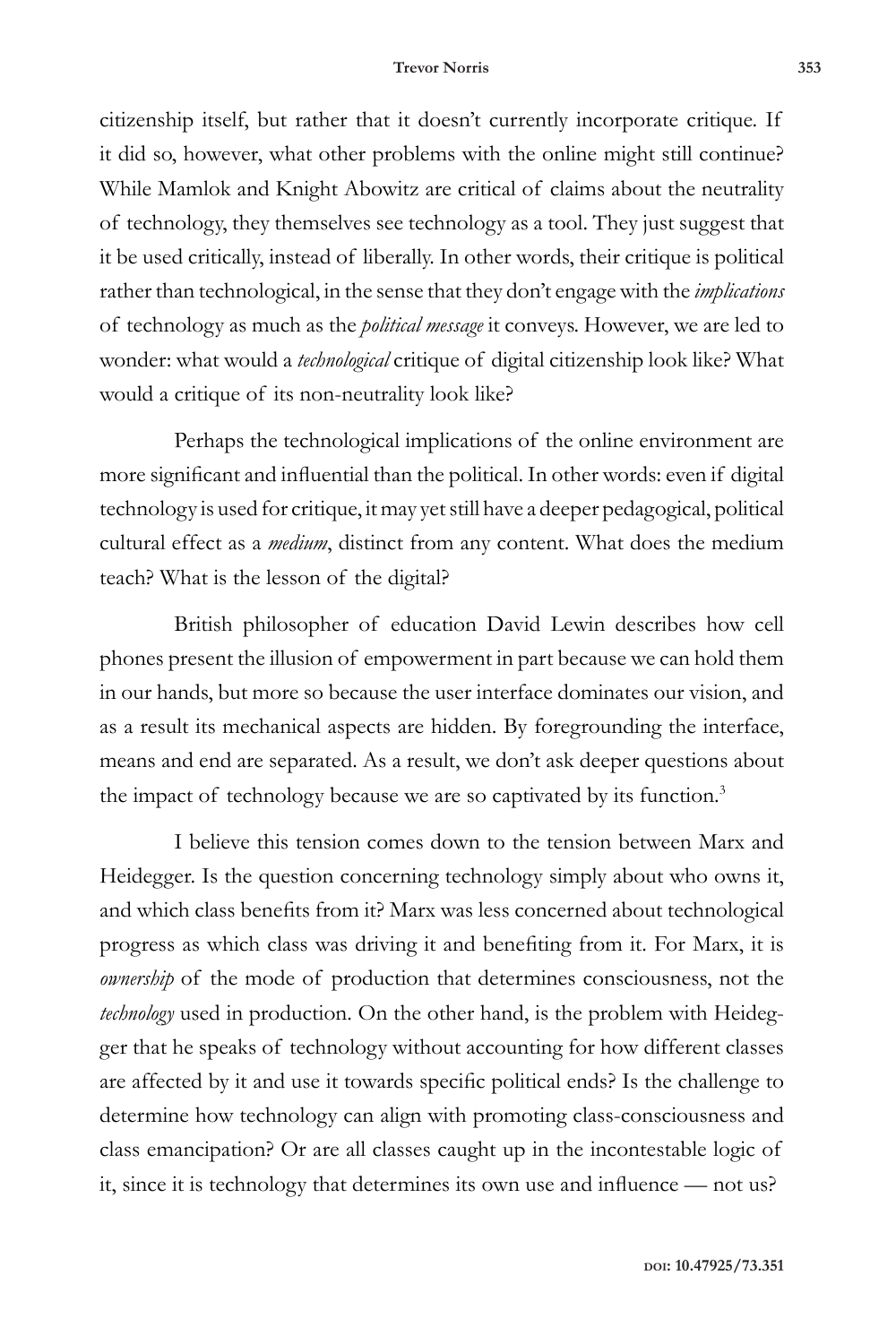#### **Trevor Norris 353**

citizenship itself, but rather that it doesn't currently incorporate critique. If it did so, however, what other problems with the online might still continue? While Mamlok and Knight Abowitz are critical of claims about the neutrality of technology, they themselves see technology as a tool. They just suggest that it be used critically, instead of liberally. In other words, their critique is political rather than technological, in the sense that they don't engage with the *implications* of technology as much as the *political message* it conveys. However, we are led to wonder: what would a *technological* critique of digital citizenship look like? What would a critique of its non-neutrality look like?

Perhaps the technological implications of the online environment are more significant and influential than the political. In other words: even if digital technology is used for critique, it may yet still have a deeper pedagogical, political cultural effect as a *medium*, distinct from any content. What does the medium teach? What is the lesson of the digital?

British philosopher of education David Lewin describes how cell phones present the illusion of empowerment in part because we can hold them in our hands, but more so because the user interface dominates our vision, and as a result its mechanical aspects are hidden. By foregrounding the interface, means and end are separated. As a result, we don't ask deeper questions about the impact of technology because we are so captivated by its function.<sup>3</sup>

I believe this tension comes down to the tension between Marx and Heidegger. Is the question concerning technology simply about who owns it, and which class benefits from it? Marx was less concerned about technological progress as which class was driving it and benefiting from it. For Marx, it is *ownership* of the mode of production that determines consciousness, not the *technology* used in production. On the other hand, is the problem with Heidegger that he speaks of technology without accounting for how different classes are affected by it and use it towards specific political ends? Is the challenge to determine how technology can align with promoting class-consciousness and class emancipation? Or are all classes caught up in the incontestable logic of it, since it is technology that determines its own use and influence — not us?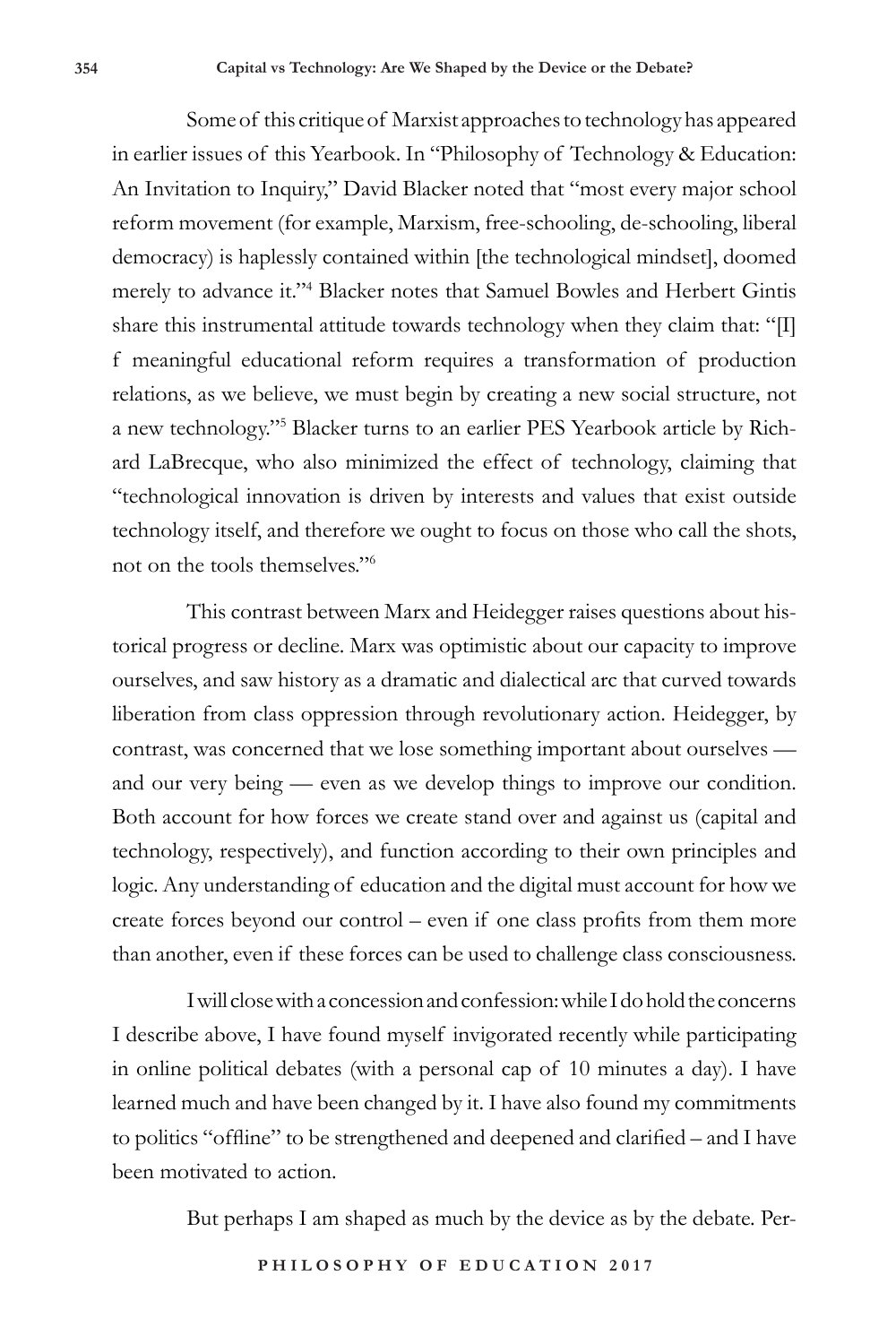Some of this critique of Marxist approaches to technology has appeared in earlier issues of this Yearbook. In "Philosophy of Technology & Education: An Invitation to Inquiry," David Blacker noted that "most every major school reform movement (for example, Marxism, free-schooling, de-schooling, liberal democracy) is haplessly contained within [the technological mindset], doomed merely to advance it."4 Blacker notes that Samuel Bowles and Herbert Gintis share this instrumental attitude towards technology when they claim that: "[I] f meaningful educational reform requires a transformation of production relations, as we believe, we must begin by creating a new social structure, not a new technology."5 Blacker turns to an earlier PES Yearbook article by Richard LaBrecque, who also minimized the effect of technology, claiming that "technological innovation is driven by interests and values that exist outside technology itself, and therefore we ought to focus on those who call the shots, not on the tools themselves."6

This contrast between Marx and Heidegger raises questions about historical progress or decline. Marx was optimistic about our capacity to improve ourselves, and saw history as a dramatic and dialectical arc that curved towards liberation from class oppression through revolutionary action. Heidegger, by contrast, was concerned that we lose something important about ourselves and our very being — even as we develop things to improve our condition. Both account for how forces we create stand over and against us (capital and technology, respectively), and function according to their own principles and logic. Any understanding of education and the digital must account for how we create forces beyond our control – even if one class profits from them more than another, even if these forces can be used to challenge class consciousness.

I will close with a concession and confession: while I do hold the concerns I describe above, I have found myself invigorated recently while participating in online political debates (with a personal cap of 10 minutes a day). I have learned much and have been changed by it. I have also found my commitments to politics "offline" to be strengthened and deepened and clarified – and I have been motivated to action.

But perhaps I am shaped as much by the device as by the debate. Per-